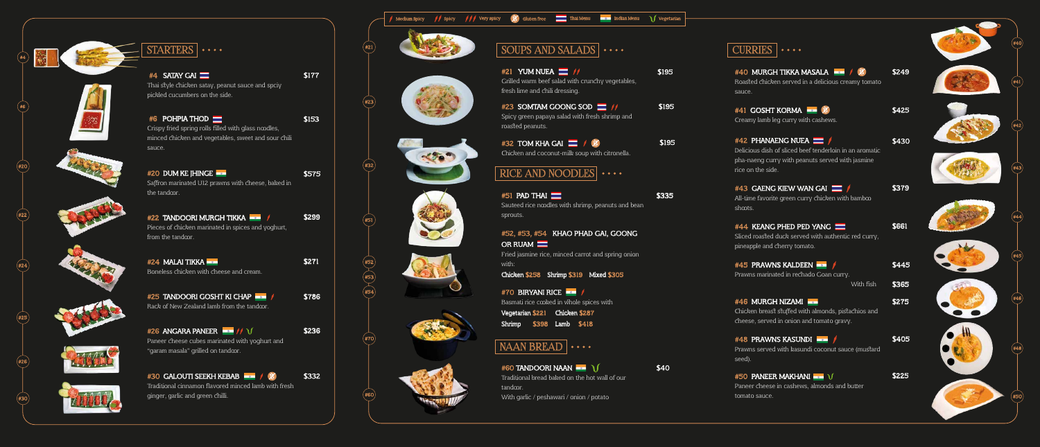

 $\left(\mathrm{\#6}\right)$ 

∕<br>#20

#4













#22

 $\left( \#24\right)$ 

#25

#26

#30

#42 PHANAENG NUEA \$430 Delicious dish of sliced beef tenderloin in an aromatic pha-naeng curry with peanuts served with jasmine rice on the side.

 $#43$  GAENG KIEW WAN GAI  $\blacksquare$  / \$379 All-time favorite green curry chicken with bambo shoots.

#44 KEANG PHED PED YANG Sliced roasted duck served with authentic red curry, pineapple and cherry tomato.

#45 PRAWNS KALDEEN Prawns marinated in rechado Goan curry. With fish

 $#46$  MURGH NIZAMI  $\blacksquare$ Chicken breast stuffed with almonds, pistachios and cheese, served in onion and tomato gravy.



 $\#$ 40 MURGH TIKKA MASALA  $\blacksquare$   $\#$   $\sharp$   $\sharp$   $\blacksquare$  \$249 Roasted chicken served in a delicious creamy tomato sauce.

 $#41$  GOSHT KORMA  $\blacksquare$   $\mathscr{X}$   $\blacksquare$   $\blacksquare$   $\blacksquare$   $\blacksquare$   $\blacksquare$   $\blacksquare$   $\blacksquare$   $\blacksquare$   $\blacksquare$   $\blacksquare$   $\blacksquare$   $\blacksquare$ Creamy lamb leg curry with cashews.



 $#51$  PAD THAI  $\equiv$ Sauteed rice noodles with shrimp, peanuts and bean sprouts.

#52, #53, #54 KHAO PHAD GAI, GOONG OR RUAM<sup>I</sup>

Fried jasmine rice, minced carrot and spring onion with:

Chicken \$258 Shrimp \$319 Mixed \$305

#70 BIRYANI RICE Basmati rice cooked in whole spices with Vegetarian \$221 Chicken \$287

| #4 SATAY GAI<br>Thai style chicken satay, peanut sauce and spciy                                                                        | \$177 |
|-----------------------------------------------------------------------------------------------------------------------------------------|-------|
| pickled cucumbers on the side.                                                                                                          |       |
| #6 POHPIA THOD<br>Crispy fried spring rolls filled with glass ncodles,<br>minced chicken and vegetables, sweet and sour chili<br>sauce. | \$153 |
| #20 DUM KE JHINGE<br>Saffron marinated U12 prawns with cheese, baked in<br>the tandoor.                                                 | \$575 |
| #22 TANDOORI MURGH TIKKA<br>Pieces of chicken marinated in spices and yoghurt,<br>from the tandcor.                                     | \$299 |
| #24 MALAI TIKKA<br>Boneless chicken with cheese and cream.                                                                              | \$271 |
| #25 TANDOORI GOSHT KI CHAP<br>Rack of New Zealand lamb from the tandcor.                                                                | \$786 |
| #26 ANGARA PANEER $\blacksquare$ // $\bigvee$<br>Paneer cheese cubes marinated with yoghurt and<br>"garam masala" grilled on tandcor.   | \$236 |
| #30 GALOUTI SEEKH KEBAB <b>ADAM</b><br>Traditional cinnamon flavored minced lamb with fresh<br>ginger, garlic and green chilli.         | \$332 |

 $\#48$  PRAWNS KASUNDI  $\longrightarrow$   $\sqrt{}$  \$405 Prawns served with kasundi coconut sauce (mustard seed).

 $#50$  PANEER MAKHANI  $\blacksquare$   $\setminus$ Paneer cheese in cashews, almonds and butter tomato sauce.



\$40

\$335

\$195

\$195

\$195

 $#21$  YUM NUEA  $\equiv$  // Grilled warm beef salad with crunchy vegetables, fresh lime and chili dressing.

#23 SOMTAM GOONG SOD  $\blacksquare$  // Spicy green papaya salad with fresh shrimp and roasted peanuts.

 $#32$  TOM KHA GAI  $\blacksquare$  /  $\mathscr{X}$ Chicken and coconut-milk soup with citronella.

 $RICE AND NOODLES$   $\cdots$ 

Shrimp \$398 Lamb \$418

## NAAN BREAD  $|\cdots$

 $#60$  TANDOORI NAAN

Traditional bread baked on the hot wall of our tandcor.

With garlic / peshawari / onion / potato

\$661

\$445

\$365